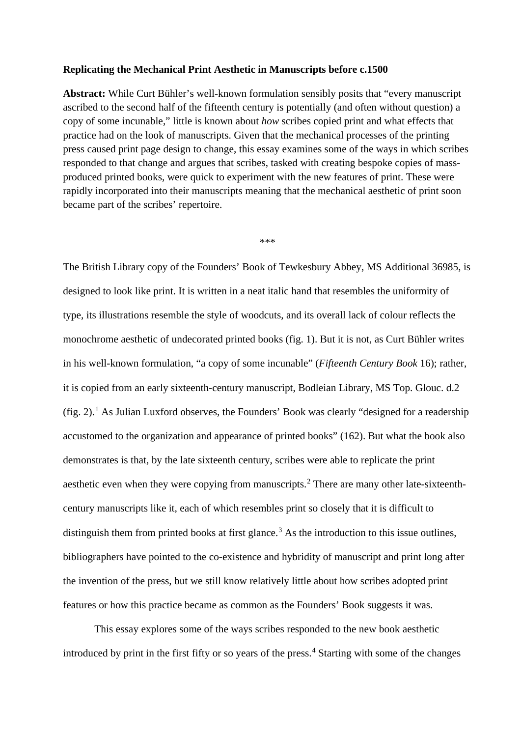#### **Replicating the Mechanical Print Aesthetic in Manuscripts before c.1500**

**Abstract:** While Curt Bühler's well-known formulation sensibly posits that "every manuscript ascribed to the second half of the fifteenth century is potentially (and often without question) a copy of some incunable," little is known about *how* scribes copied print and what effects that practice had on the look of manuscripts. Given that the mechanical processes of the printing press caused print page design to change, this essay examines some of the ways in which scribes responded to that change and argues that scribes, tasked with creating bespoke copies of massproduced printed books, were quick to experiment with the new features of print. These were rapidly incorporated into their manuscripts meaning that the mechanical aesthetic of print soon became part of the scribes' repertoire.

\*\*\*

The British Library copy of the Founders' Book of Tewkesbury Abbey, MS Additional 36985, is designed to look like print. It is written in a neat italic hand that resembles the uniformity of type, its illustrations resemble the style of woodcuts, and its overall lack of colour reflects the monochrome aesthetic of undecorated printed books (fig. 1). But it is not, as Curt Bühler writes in his well-known formulation, "a copy of some incunable" (*Fifteenth Century Book* 16); rather, it is copied from an early sixteenth-century manuscript, Bodleian Library, MS Top. Glouc. d.2 (fig. 2). [1](#page-1-0) As Julian Luxford observes, the Founders' Book was clearly "designed for a readership accustomed to the organization and appearance of printed books" (162). But what the book also demonstrates is that, by the late sixteenth century, scribes were able to replicate the print aesthetic even when they were copying from manuscripts. [2](#page-1-1) There are many other late-sixteenthcentury manuscripts like it, each of which resembles print so closely that it is difficult to distinguish them from printed books at first glance.<sup>[3](#page-1-2)</sup> As the introduction to this issue outlines, bibliographers have pointed to the co-existence and hybridity of manuscript and print long after the invention of the press, but we still know relatively little about how scribes adopted print features or how this practice became as common as the Founders' Book suggests it was.

This essay explores some of the ways scribes responded to the new book aesthetic introduced by print in the first fifty or so years of the press. [4](#page-1-3) Starting with some of the changes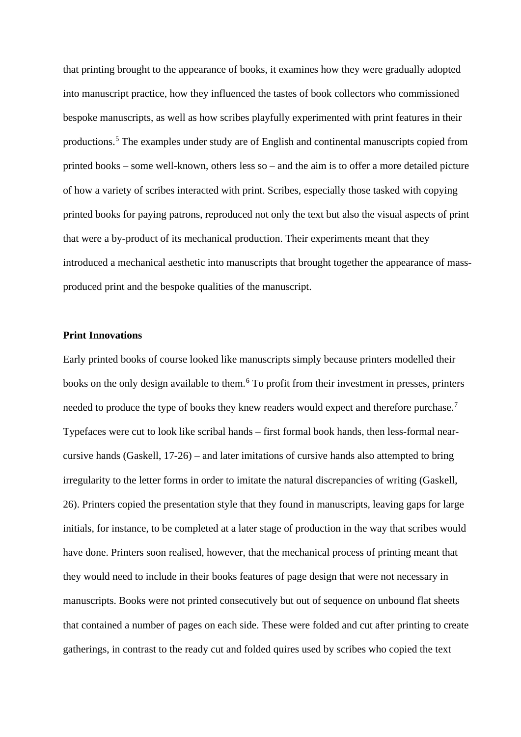that printing brought to the appearance of books, it examines how they were gradually adopted into manuscript practice, how they influenced the tastes of book collectors who commissioned bespoke manuscripts, as well as how scribes playfully experimented with print features in their productions. [5](#page-1-4) The examples under study are of English and continental manuscripts copied from printed books – some well-known, others less so – and the aim is to offer a more detailed picture of how a variety of scribes interacted with print. Scribes, especially those tasked with copying printed books for paying patrons, reproduced not only the text but also the visual aspects of print that were a by-product of its mechanical production. Their experiments meant that they introduced a mechanical aesthetic into manuscripts that brought together the appearance of massproduced print and the bespoke qualities of the manuscript.

## <span id="page-1-0"></span>**Print Innovations**

<span id="page-1-9"></span><span id="page-1-8"></span><span id="page-1-7"></span><span id="page-1-6"></span><span id="page-1-5"></span><span id="page-1-4"></span><span id="page-1-3"></span><span id="page-1-2"></span><span id="page-1-1"></span>Early printed books of course looked like manuscripts simply because printers modelled their books on the only design available to them.<sup>[6](#page-1-5)</sup> To profit from their investment in presses, printers needed to produce the type of books they knew readers would expect and therefore purchase.<sup>[7](#page-1-6)</sup> Typefaces were cut to look like scribal hands – first formal book hands, then less-formal nearcursive hands (Gaskell, 17-26) – and later imitations of cursive hands also attempted to bring irregularity to the letter forms in order to imitate the natural discrepancies of writing (Gaskell, 26). Printers copied the presentation style that they found in manuscripts, leaving gaps for large initials, for instance, to be completed at a later stage of production in the way that scribes would have done. Printers soon realised, however, that the mechanical process of printing meant that they would need to include in their books features of page design that were not necessary in manuscripts. Books were not printed consecutively but out of sequence on unbound flat sheets that contained a number of pages on each side. These were folded and cut after printing to create gatherings, in contrast to the ready cut and folded quires used by scribes who copied the text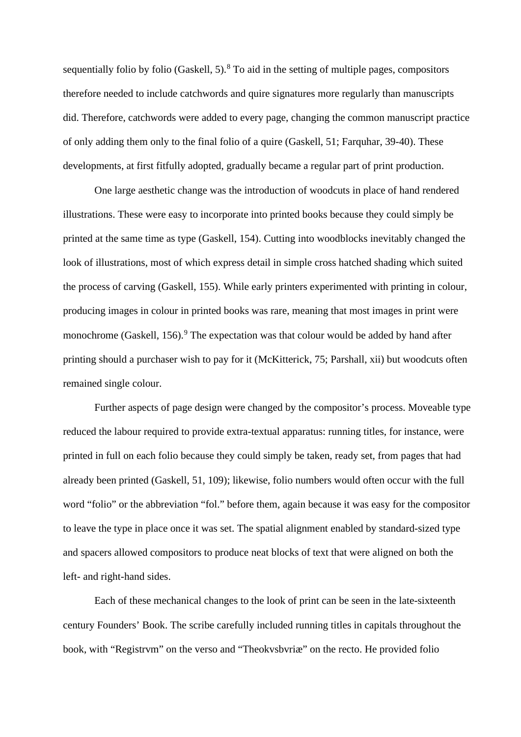<span id="page-2-0"></span>sequentially folio by folio (Gaskell, 5).<sup>[8](#page-1-7)</sup> To aid in the setting of multiple pages, compositors therefore needed to include catchwords and quire signatures more regularly than manuscripts did. Therefore, catchwords were added to every page, changing the common manuscript practice of only adding them only to the final folio of a quire (Gaskell, 51; Farquhar, 39-40). These developments, at first fitfully adopted, gradually became a regular part of print production.

<span id="page-2-5"></span><span id="page-2-4"></span><span id="page-2-3"></span><span id="page-2-2"></span><span id="page-2-1"></span>One large aesthetic change was the introduction of woodcuts in place of hand rendered illustrations. These were easy to incorporate into printed books because they could simply be printed at the same time as type (Gaskell, 154). Cutting into woodblocks inevitably changed the look of illustrations, most of which express detail in simple cross hatched shading which suited the process of carving (Gaskell, 155). While early printers experimented with printing in colour, producing images in colour in printed books was rare, meaning that most images in print were monochrome (Gaskell, 156).<sup>[9](#page-1-8)</sup> The expectation was that colour would be added by hand after printing should a purchaser wish to pay for it (McKitterick, 75; Parshall, xii) but woodcuts often remained single colour.

<span id="page-2-12"></span><span id="page-2-11"></span><span id="page-2-10"></span><span id="page-2-9"></span><span id="page-2-8"></span><span id="page-2-7"></span><span id="page-2-6"></span>Further aspects of page design were changed by the compositor's process. Moveable type reduced the labour required to provide extra-textual apparatus: running titles, for instance, were printed in full on each folio because they could simply be taken, ready set, from pages that had already been printed (Gaskell, 51, 109); likewise, folio numbers would often occur with the full word "folio" or the abbreviation "fol." before them, again because it was easy for the compositor to leave the type in place once it was set. The spatial alignment enabled by standard-sized type and spacers allowed compositors to produce neat blocks of text that were aligned on both the left- and right-hand sides.

<span id="page-2-16"></span><span id="page-2-15"></span><span id="page-2-14"></span><span id="page-2-13"></span>Each of these mechanical changes to the look of print can be seen in the late-sixteenth century Founders' Book. The scribe carefully included running titles in capitals throughout the book, with "Registrvm" on the verso and "Theokvsbvriæ" on the recto. He provided folio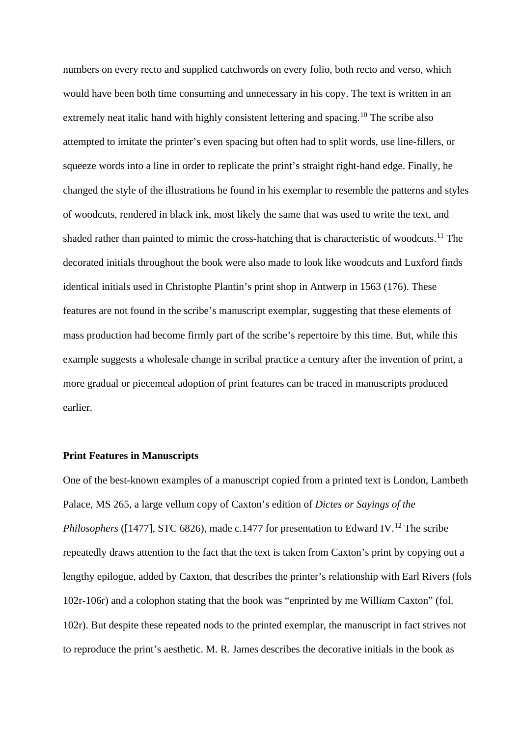<span id="page-3-6"></span><span id="page-3-5"></span><span id="page-3-4"></span><span id="page-3-3"></span><span id="page-3-2"></span><span id="page-3-1"></span><span id="page-3-0"></span>numbers on every recto and supplied catchwords on every folio, both recto and verso, which would have been both time consuming and unnecessary in his copy. The text is written in an extremely neat italic hand with highly consistent lettering and spacing.<sup>[10](#page-1-9)</sup> The scribe also attempted to imitate the printer's even spacing but often had to split words, use line-fillers, or squeeze words into a line in order to replicate the print's straight right-hand edge. Finally, he changed the style of the illustrations he found in his exemplar to resemble the patterns and styles of woodcuts, rendered in black ink, most likely the same that was used to write the text, and shaded rather than painted to mimic the cross-hatching that is characteristic of woodcuts.<sup>[11](#page-2-0)</sup> The decorated initials throughout the book were also made to look like woodcuts and Luxford finds identical initials used in Christophe Plantin's print shop in Antwerp in 1563 (176). These features are not found in the scribe's manuscript exemplar, suggesting that these elements of mass production had become firmly part of the scribe's repertoire by this time. But, while this example suggests a wholesale change in scribal practice a century after the invention of print, a more gradual or piecemeal adoption of print features can be traced in manuscripts produced earlier.

# <span id="page-3-11"></span><span id="page-3-10"></span><span id="page-3-9"></span><span id="page-3-8"></span><span id="page-3-7"></span>**Print Features in Manuscripts**

One of the best-known examples of a manuscript copied from a printed text is London, Lambeth Palace, MS 265, a large vellum copy of Caxton's edition of *Dictes or Sayings of the Philosophers* ([1477], STC 6826), made c.1477 for presentation to Edward IV.<sup>[12](#page-2-1)</sup> The scribe repeatedly draws attention to the fact that the text is taken from Caxton's print by copying out a lengthy epilogue, added by Caxton, that describes the printer's relationship with Earl Rivers (fols 102r-106r) and a colophon stating that the book was "enprinted by me Will*ia*m Caxton" (fol. 102r). But despite these repeated nods to the printed exemplar, the manuscript in fact strives not to reproduce the print's aesthetic. M. R. James describes the decorative initials in the book as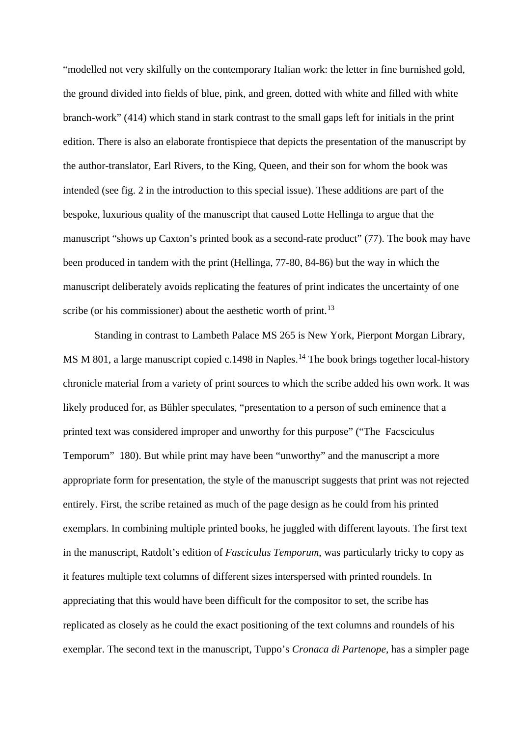"modelled not very skilfully on the contemporary Italian work: the letter in fine burnished gold, the ground divided into fields of blue, pink, and green, dotted with white and filled with white branch-work" (414) which stand in stark contrast to the small gaps left for initials in the print edition. There is also an elaborate frontispiece that depicts the presentation of the manuscript by the author-translator, Earl Rivers, to the King, Queen, and their son for whom the book was intended (see fig. 2 in the introduction to this special issue). These additions are part of the bespoke, luxurious quality of the manuscript that caused Lotte Hellinga to argue that the manuscript "shows up Caxton's printed book as a second-rate product" (77). The book may have been produced in tandem with the print (Hellinga, 77-80, 84-86) but the way in which the manuscript deliberately avoids replicating the features of print indicates the uncertainty of one scribe (or his commissioner) about the aesthetic worth of print.<sup>[13](#page-2-2)</sup>

Standing in contrast to Lambeth Palace MS 265 is New York, Pierpont Morgan Library, MS M 801, a large manuscript copied c.[14](#page-2-3)98 in Naples.<sup>14</sup> The book brings together local-history chronicle material from a variety of print sources to which the scribe added his own work. It was likely produced for, as Bühler speculates, "presentation to a person of such eminence that a printed text was considered improper and unworthy for this purpose" ("The Facsciculus Temporum" 180). But while print may have been "unworthy" and the manuscript a more appropriate form for presentation, the style of the manuscript suggests that print was not rejected entirely. First, the scribe retained as much of the page design as he could from his printed exemplars. In combining multiple printed books, he juggled with different layouts. The first text in the manuscript, Ratdolt's edition of *Fasciculus Temporum*, was particularly tricky to copy as it features multiple text columns of different sizes interspersed with printed roundels. In appreciating that this would have been difficult for the compositor to set, the scribe has replicated as closely as he could the exact positioning of the text columns and roundels of his exemplar. The second text in the manuscript, Tuppo's *Cronaca di Partenope*, has a simpler page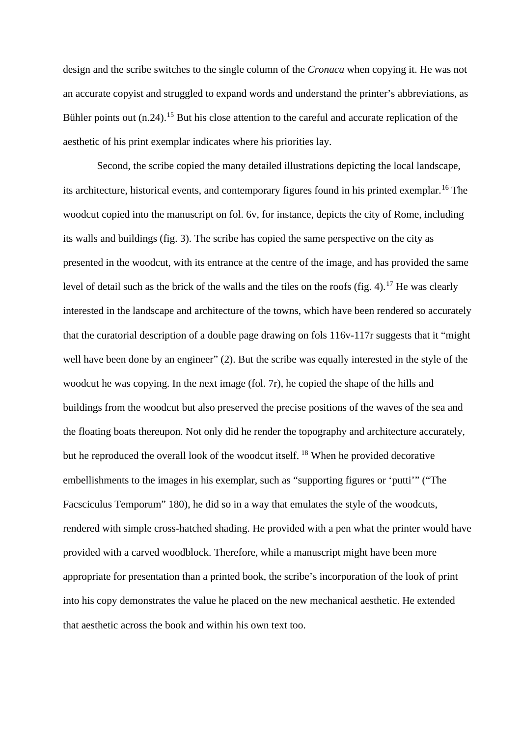design and the scribe switches to the single column of the *Cronaca* when copying it. He was not an accurate copyist and struggled to expand words and understand the printer's abbreviations, as Bühler points out (n.24).<sup>[15](#page-2-4)</sup> But his close attention to the careful and accurate replication of the aesthetic of his print exemplar indicates where his priorities lay.

Second, the scribe copied the many detailed illustrations depicting the local landscape, its architecture, historical events, and contemporary figures found in his printed exemplar.[16](#page-2-5) The woodcut copied into the manuscript on fol. 6v, for instance, depicts the city of Rome, including its walls and buildings (fig. 3). The scribe has copied the same perspective on the city as presented in the woodcut, with its entrance at the centre of the image, and has provided the same level of detail such as the brick of the walls and the tiles on the roofs (fig. 4).<sup>[17](#page-2-6)</sup> He was clearly interested in the landscape and architecture of the towns, which have been rendered so accurately that the curatorial description of a double page drawing on fols 116v-117r suggests that it "might well have been done by an engineer" (2). But the scribe was equally interested in the style of the woodcut he was copying. In the next image (fol. 7r), he copied the shape of the hills and buildings from the woodcut but also preserved the precise positions of the waves of the sea and the floating boats thereupon. Not only did he render the topography and architecture accurately, but he reproduced the overall look of the woodcut itself. <sup>[18](#page-2-7)</sup> When he provided decorative embellishments to the images in his exemplar, such as "supporting figures or 'putti'" ("The Facsciculus Temporum" 180), he did so in a way that emulates the style of the woodcuts, rendered with simple cross-hatched shading. He provided with a pen what the printer would have provided with a carved woodblock. Therefore, while a manuscript might have been more appropriate for presentation than a printed book, the scribe's incorporation of the look of print into his copy demonstrates the value he placed on the new mechanical aesthetic. He extended that aesthetic across the book and within his own text too.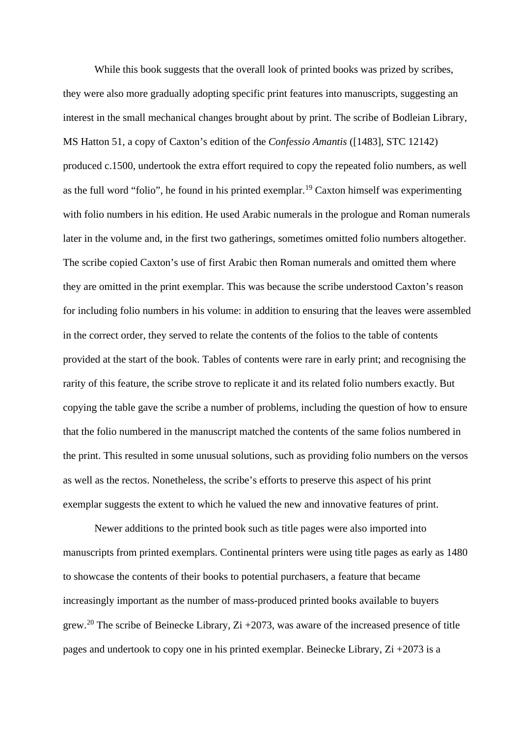While this book suggests that the overall look of printed books was prized by scribes, they were also more gradually adopting specific print features into manuscripts, suggesting an interest in the small mechanical changes brought about by print. The scribe of Bodleian Library, MS Hatton 51, a copy of Caxton's edition of the *Confessio Amantis* ([1483], STC 12142) produced c.1500, undertook the extra effort required to copy the repeated folio numbers, as well as the full word "folio", he found in his printed exemplar.<sup>[19](#page-2-8)</sup> Caxton himself was experimenting with folio numbers in his edition. He used Arabic numerals in the prologue and Roman numerals later in the volume and, in the first two gatherings, sometimes omitted folio numbers altogether. The scribe copied Caxton's use of first Arabic then Roman numerals and omitted them where they are omitted in the print exemplar. This was because the scribe understood Caxton's reason for including folio numbers in his volume: in addition to ensuring that the leaves were assembled in the correct order, they served to relate the contents of the folios to the table of contents provided at the start of the book. Tables of contents were rare in early print; and recognising the rarity of this feature, the scribe strove to replicate it and its related folio numbers exactly. But copying the table gave the scribe a number of problems, including the question of how to ensure that the folio numbered in the manuscript matched the contents of the same folios numbered in the print. This resulted in some unusual solutions, such as providing folio numbers on the versos as well as the rectos. Nonetheless, the scribe's efforts to preserve this aspect of his print exemplar suggests the extent to which he valued the new and innovative features of print.

Newer additions to the printed book such as title pages were also imported into manuscripts from printed exemplars. Continental printers were using title pages as early as 1480 to showcase the contents of their books to potential purchasers, a feature that became increasingly important as the number of mass-produced printed books available to buyers grew.<sup>[20](#page-2-9)</sup> The scribe of Beinecke Library,  $Zi + 2073$ , was aware of the increased presence of title pages and undertook to copy one in his printed exemplar. Beinecke Library, Zi +2073 is a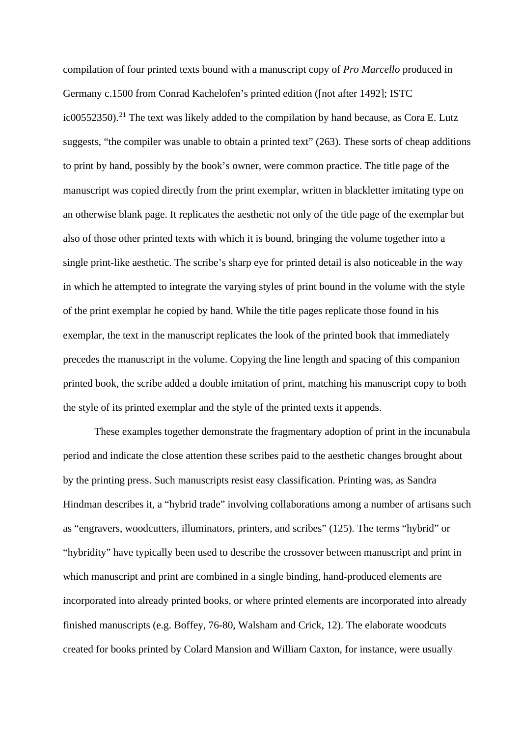compilation of four printed texts bound with a manuscript copy of *Pro Marcello* produced in Germany c.1500 from Conrad Kachelofen's printed edition ([not after 1492]; ISTC ic00552350).<sup>[21](#page-2-10)</sup> The text was likely added to the compilation by hand because, as Cora E. Lutz suggests, "the compiler was unable to obtain a printed text" (263). These sorts of cheap additions to print by hand, possibly by the book's owner, were common practice. The title page of the manuscript was copied directly from the print exemplar, written in blackletter imitating type on an otherwise blank page. It replicates the aesthetic not only of the title page of the exemplar but also of those other printed texts with which it is bound, bringing the volume together into a single print-like aesthetic. The scribe's sharp eye for printed detail is also noticeable in the way in which he attempted to integrate the varying styles of print bound in the volume with the style of the print exemplar he copied by hand. While the title pages replicate those found in his exemplar, the text in the manuscript replicates the look of the printed book that immediately precedes the manuscript in the volume. Copying the line length and spacing of this companion printed book, the scribe added a double imitation of print, matching his manuscript copy to both the style of its printed exemplar and the style of the printed texts it appends.

These examples together demonstrate the fragmentary adoption of print in the incunabula period and indicate the close attention these scribes paid to the aesthetic changes brought about by the printing press. Such manuscripts resist easy classification. Printing was, as Sandra Hindman describes it, a "hybrid trade" involving collaborations among a number of artisans such as "engravers, woodcutters, illuminators, printers, and scribes" (125). The terms "hybrid" or "hybridity" have typically been used to describe the crossover between manuscript and print in which manuscript and print are combined in a single binding, hand-produced elements are incorporated into already printed books, or where printed elements are incorporated into already finished manuscripts (e.g. Boffey, 76-80, Walsham and Crick, 12). The elaborate woodcuts created for books printed by Colard Mansion and William Caxton, for instance, were usually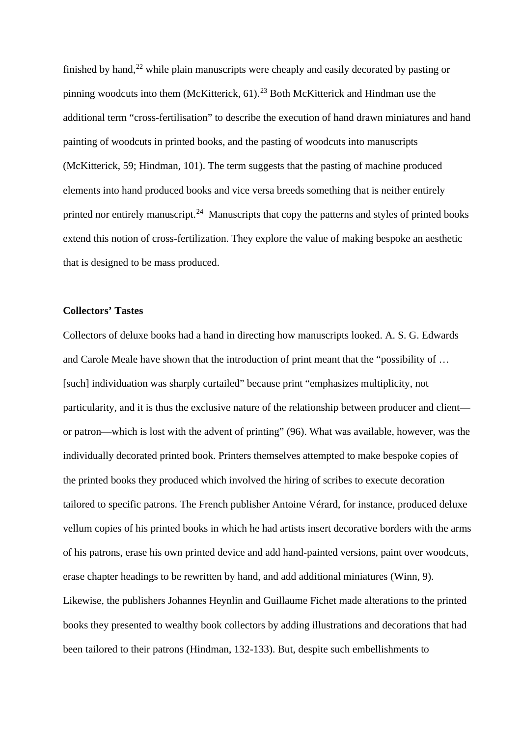finished by hand, $^{22}$  $^{22}$  $^{22}$  while plain manuscripts were cheaply and easily decorated by pasting or pinning woodcuts into them (McKitterick,  $61$ ).<sup>[23](#page-2-12)</sup> Both McKitterick and Hindman use the additional term "cross-fertilisation" to describe the execution of hand drawn miniatures and hand painting of woodcuts in printed books, and the pasting of woodcuts into manuscripts (McKitterick, 59; Hindman, 101). The term suggests that the pasting of machine produced elements into hand produced books and vice versa breeds something that is neither entirely printed nor entirely manuscript.<sup>24</sup> Manuscripts that copy the patterns and styles of printed books extend this notion of cross-fertilization. They explore the value of making bespoke an aesthetic that is designed to be mass produced.

## **Collectors' Tastes**

Collectors of deluxe books had a hand in directing how manuscripts looked. A. S. G. Edwards and Carole Meale have shown that the introduction of print meant that the "possibility of … [such] individuation was sharply curtailed" because print "emphasizes multiplicity, not particularity, and it is thus the exclusive nature of the relationship between producer and client or patron—which is lost with the advent of printing" (96). What was available, however, was the individually decorated printed book. Printers themselves attempted to make bespoke copies of the printed books they produced which involved the hiring of scribes to execute decoration tailored to specific patrons. The French publisher Antoine Vérard, for instance, produced deluxe vellum copies of his printed books in which he had artists insert decorative borders with the arms of his patrons, erase his own printed device and add hand-painted versions, paint over woodcuts, erase chapter headings to be rewritten by hand, and add additional miniatures (Winn, 9). Likewise, the publishers Johannes Heynlin and Guillaume Fichet made alterations to the printed books they presented to wealthy book collectors by adding illustrations and decorations that had been tailored to their patrons (Hindman, 132-133). But, despite such embellishments to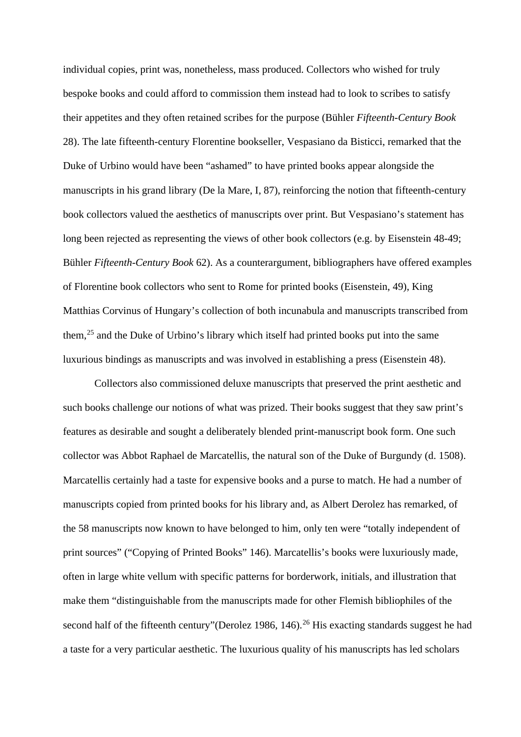individual copies, print was, nonetheless, mass produced. Collectors who wished for truly bespoke books and could afford to commission them instead had to look to scribes to satisfy their appetites and they often retained scribes for the purpose (Bühler *Fifteenth-Century Book* 28). The late fifteenth-century Florentine bookseller, Vespasiano da Bisticci, remarked that the Duke of Urbino would have been "ashamed" to have printed books appear alongside the manuscripts in his grand library (De la Mare, I, 87), reinforcing the notion that fifteenth-century book collectors valued the aesthetics of manuscripts over print. But Vespasiano's statement has long been rejected as representing the views of other book collectors (e.g. by Eisenstein 48-49; Bühler *Fifteenth-Century Book* 62). As a counterargument, bibliographers have offered examples of Florentine book collectors who sent to Rome for printed books (Eisenstein, 49), King Matthias Corvinus of Hungary's collection of both incunabula and manuscripts transcribed from them,<sup>[25](#page-2-14)</sup> and the Duke of Urbino's library which itself had printed books put into the same luxurious bindings as manuscripts and was involved in establishing a press (Eisenstein 48).

Collectors also commissioned deluxe manuscripts that preserved the print aesthetic and such books challenge our notions of what was prized. Their books suggest that they saw print's features as desirable and sought a deliberately blended print-manuscript book form. One such collector was Abbot Raphael de Marcatellis, the natural son of the Duke of Burgundy (d. 1508). Marcatellis certainly had a taste for expensive books and a purse to match. He had a number of manuscripts copied from printed books for his library and, as Albert Derolez has remarked, of the 58 manuscripts now known to have belonged to him, only ten were "totally independent of print sources" ("Copying of Printed Books" 146). Marcatellis's books were luxuriously made, often in large white vellum with specific patterns for borderwork, initials, and illustration that make them "distinguishable from the manuscripts made for other Flemish bibliophiles of the second half of the fifteenth century"(Derolez 1986, 146).<sup>[26](#page-2-15)</sup> His exacting standards suggest he had a taste for a very particular aesthetic. The luxurious quality of his manuscripts has led scholars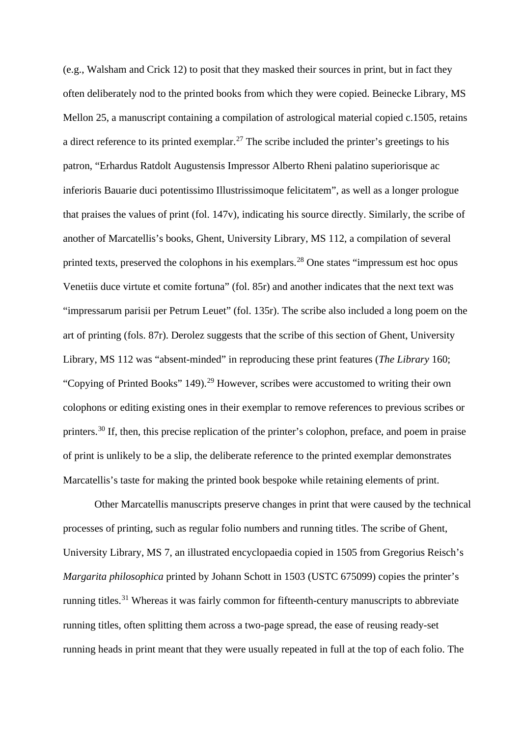(e.g., Walsham and Crick 12) to posit that they masked their sources in print, but in fact they often deliberately nod to the printed books from which they were copied. Beinecke Library, MS Mellon 25, a manuscript containing a compilation of astrological material copied c.1505, retains a direct reference to its printed exemplar.[27](#page-2-16) The scribe included the printer's greetings to his patron, "Erhardus Ratdolt Augustensis Impressor Alberto Rheni palatino superiorisque ac inferioris Bauarie duci potentissimo Illustrissimoque felicitatem", as well as a longer prologue that praises the values of print (fol. 147v), indicating his source directly. Similarly, the scribe of another of Marcatellis's books, Ghent, University Library, MS 112, a compilation of several printed texts, preserved the colophons in his exemplars.<sup>[28](#page-3-0)</sup> One states "impressum est hoc opus Venetiis duce virtute et comite fortuna" (fol. 85r) and another indicates that the next text was "impressarum parisii per Petrum Leuet" (fol. 135r). The scribe also included a long poem on the art of printing (fols. 87r). Derolez suggests that the scribe of this section of Ghent, University Library, MS 112 was "absent-minded" in reproducing these print features (*The Library* 160; "Copying of Printed Books" 149).[29](#page-3-1) However, scribes were accustomed to writing their own colophons or editing existing ones in their exemplar to remove references to previous scribes or printers.[30](#page-3-2) If, then, this precise replication of the printer's colophon, preface, and poem in praise of print is unlikely to be a slip, the deliberate reference to the printed exemplar demonstrates Marcatellis's taste for making the printed book bespoke while retaining elements of print.

Other Marcatellis manuscripts preserve changes in print that were caused by the technical processes of printing, such as regular folio numbers and running titles. The scribe of Ghent, University Library, MS 7, an illustrated encyclopaedia copied in 1505 from Gregorius Reisch's *Margarita philosophica* printed by Johann Schott in 1503 (USTC 675099) copies the printer's running titles.[31](#page-3-3) Whereas it was fairly common for fifteenth-century manuscripts to abbreviate running titles, often splitting them across a two-page spread, the ease of reusing ready-set running heads in print meant that they were usually repeated in full at the top of each folio. The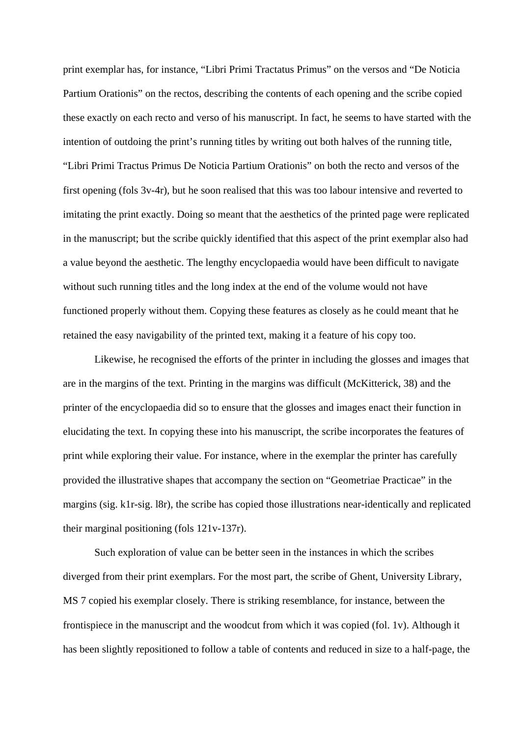print exemplar has, for instance, "Libri Primi Tractatus Primus" on the versos and "De Noticia Partium Orationis" on the rectos, describing the contents of each opening and the scribe copied these exactly on each recto and verso of his manuscript. In fact, he seems to have started with the intention of outdoing the print's running titles by writing out both halves of the running title, "Libri Primi Tractus Primus De Noticia Partium Orationis" on both the recto and versos of the first opening (fols 3v-4r), but he soon realised that this was too labour intensive and reverted to imitating the print exactly. Doing so meant that the aesthetics of the printed page were replicated in the manuscript; but the scribe quickly identified that this aspect of the print exemplar also had a value beyond the aesthetic. The lengthy encyclopaedia would have been difficult to navigate without such running titles and the long index at the end of the volume would not have functioned properly without them. Copying these features as closely as he could meant that he retained the easy navigability of the printed text, making it a feature of his copy too.

Likewise, he recognised the efforts of the printer in including the glosses and images that are in the margins of the text. Printing in the margins was difficult (McKitterick, 38) and the printer of the encyclopaedia did so to ensure that the glosses and images enact their function in elucidating the text. In copying these into his manuscript, the scribe incorporates the features of print while exploring their value. For instance, where in the exemplar the printer has carefully provided the illustrative shapes that accompany the section on "Geometriae Practicae" in the margins (sig. k1r-sig. l8r), the scribe has copied those illustrations near-identically and replicated their marginal positioning (fols 121v-137r).

Such exploration of value can be better seen in the instances in which the scribes diverged from their print exemplars. For the most part, the scribe of Ghent, University Library, MS 7 copied his exemplar closely. There is striking resemblance, for instance, between the frontispiece in the manuscript and the woodcut from which it was copied (fol. 1v). Although it has been slightly repositioned to follow a table of contents and reduced in size to a half-page, the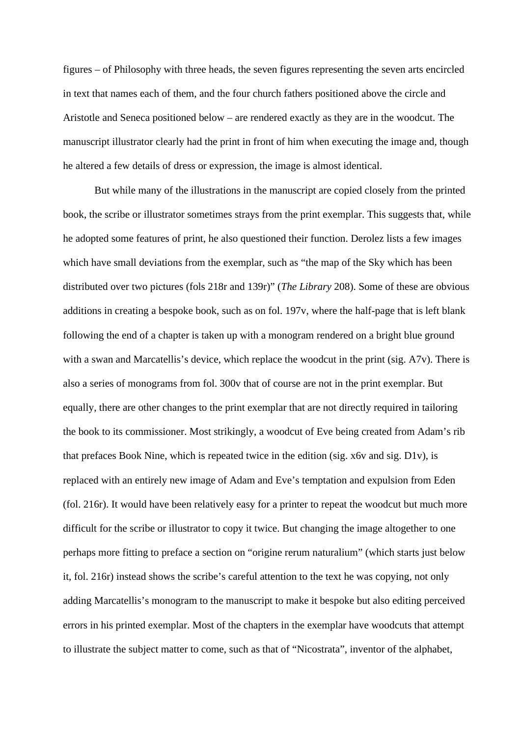figures – of Philosophy with three heads, the seven figures representing the seven arts encircled in text that names each of them, and the four church fathers positioned above the circle and Aristotle and Seneca positioned below – are rendered exactly as they are in the woodcut. The manuscript illustrator clearly had the print in front of him when executing the image and, though he altered a few details of dress or expression, the image is almost identical.

But while many of the illustrations in the manuscript are copied closely from the printed book, the scribe or illustrator sometimes strays from the print exemplar. This suggests that, while he adopted some features of print, he also questioned their function. Derolez lists a few images which have small deviations from the exemplar, such as "the map of the Sky which has been distributed over two pictures (fols 218r and 139r)" (*The Library* 208). Some of these are obvious additions in creating a bespoke book, such as on fol. 197v, where the half-page that is left blank following the end of a chapter is taken up with a monogram rendered on a bright blue ground with a swan and Marcatellis's device, which replace the woodcut in the print (sig. A7v). There is also a series of monograms from fol. 300v that of course are not in the print exemplar. But equally, there are other changes to the print exemplar that are not directly required in tailoring the book to its commissioner. Most strikingly, a woodcut of Eve being created from Adam's rib that prefaces Book Nine, which is repeated twice in the edition (sig. x6v and sig. D1v), is replaced with an entirely new image of Adam and Eve's temptation and expulsion from Eden (fol. 216r). It would have been relatively easy for a printer to repeat the woodcut but much more difficult for the scribe or illustrator to copy it twice. But changing the image altogether to one perhaps more fitting to preface a section on "origine rerum naturalium" (which starts just below it, fol. 216r) instead shows the scribe's careful attention to the text he was copying, not only adding Marcatellis's monogram to the manuscript to make it bespoke but also editing perceived errors in his printed exemplar. Most of the chapters in the exemplar have woodcuts that attempt to illustrate the subject matter to come, such as that of "Nicostrata", inventor of the alphabet,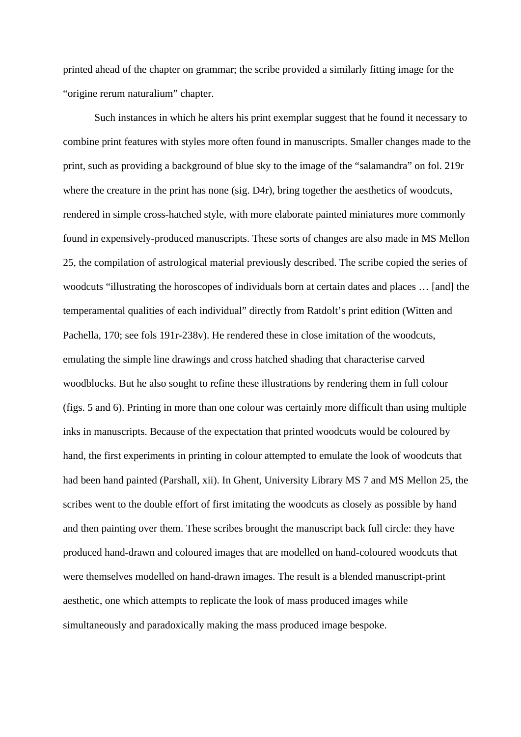printed ahead of the chapter on grammar; the scribe provided a similarly fitting image for the "origine rerum naturalium" chapter.

Such instances in which he alters his print exemplar suggest that he found it necessary to combine print features with styles more often found in manuscripts. Smaller changes made to the print, such as providing a background of blue sky to the image of the "salamandra" on fol. 219r where the creature in the print has none (sig. D4r), bring together the aesthetics of woodcuts, rendered in simple cross-hatched style, with more elaborate painted miniatures more commonly found in expensively-produced manuscripts. These sorts of changes are also made in MS Mellon 25, the compilation of astrological material previously described. The scribe copied the series of woodcuts "illustrating the horoscopes of individuals born at certain dates and places … [and] the temperamental qualities of each individual" directly from Ratdolt's print edition (Witten and Pachella, 170; see fols 191r-238v). He rendered these in close imitation of the woodcuts, emulating the simple line drawings and cross hatched shading that characterise carved woodblocks. But he also sought to refine these illustrations by rendering them in full colour (figs. 5 and 6). Printing in more than one colour was certainly more difficult than using multiple inks in manuscripts. Because of the expectation that printed woodcuts would be coloured by hand, the first experiments in printing in colour attempted to emulate the look of woodcuts that had been hand painted (Parshall, xii). In Ghent, University Library MS 7 and MS Mellon 25, the scribes went to the double effort of first imitating the woodcuts as closely as possible by hand and then painting over them. These scribes brought the manuscript back full circle: they have produced hand-drawn and coloured images that are modelled on hand-coloured woodcuts that were themselves modelled on hand-drawn images. The result is a blended manuscript-print aesthetic, one which attempts to replicate the look of mass produced images while simultaneously and paradoxically making the mass produced image bespoke.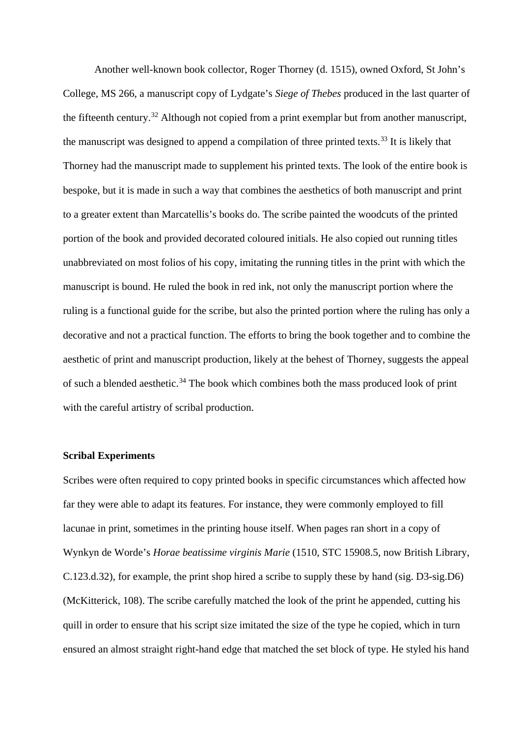Another well-known book collector, Roger Thorney (d. 1515), owned Oxford, St John's College, MS 266, a manuscript copy of Lydgate's *Siege of Thebes* produced in the last quarter of the fifteenth century.[32](#page-3-4) Although not copied from a print exemplar but from another manuscript, the manuscript was designed to append a compilation of three printed texts.<sup>[33](#page-3-5)</sup> It is likely that Thorney had the manuscript made to supplement his printed texts. The look of the entire book is bespoke, but it is made in such a way that combines the aesthetics of both manuscript and print to a greater extent than Marcatellis's books do. The scribe painted the woodcuts of the printed portion of the book and provided decorated coloured initials. He also copied out running titles unabbreviated on most folios of his copy, imitating the running titles in the print with which the manuscript is bound. He ruled the book in red ink, not only the manuscript portion where the ruling is a functional guide for the scribe, but also the printed portion where the ruling has only a decorative and not a practical function. The efforts to bring the book together and to combine the aesthetic of print and manuscript production, likely at the behest of Thorney, suggests the appeal of such a blended aesthetic.<sup>[34](#page-3-6)</sup> The book which combines both the mass produced look of print with the careful artistry of scribal production.

## **Scribal Experiments**

Scribes were often required to copy printed books in specific circumstances which affected how far they were able to adapt its features. For instance, they were commonly employed to fill lacunae in print, sometimes in the printing house itself. When pages ran short in a copy of Wynkyn de Worde's *Horae beatissime virginis Marie* (1510, STC 15908.5, now British Library, C.123.d.32), for example, the print shop hired a scribe to supply these by hand (sig. D3-sig.D6) (McKitterick, 108). The scribe carefully matched the look of the print he appended, cutting his quill in order to ensure that his script size imitated the size of the type he copied, which in turn ensured an almost straight right-hand edge that matched the set block of type. He styled his hand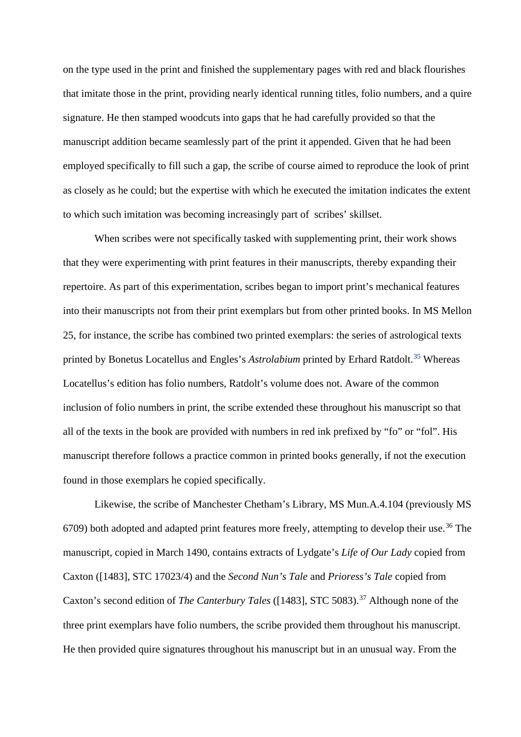on the type used in the print and finished the supplementary pages with red and black flourishes that imitate those in the print, providing nearly identical running titles, folio numbers, and a quire signature. He then stamped woodcuts into gaps that he had carefully provided so that the manuscript addition became seamlessly part of the print it appended. Given that he had been employed specifically to fill such a gap, the scribe of course aimed to reproduce the look of print as closely as he could; but the expertise with which he executed the imitation indicates the extent to which such imitation was becoming increasingly part of scribes' skillset.

When scribes were not specifically tasked with supplementing print, their work shows that they were experimenting with print features in their manuscripts, thereby expanding their repertoire. As part of this experimentation, scribes began to import print's mechanical features into their manuscripts not from their print exemplars but from other printed books. In MS Mellon 25, for instance, the scribe has combined two printed exemplars: the series of astrological texts printed by Bonetus Locatellus and Engles's *Astrolabium* printed by Erhard Ratdolt.<sup>[35](#page-3-7)</sup> Whereas Locatellus's edition has folio numbers, Ratdolt's volume does not. Aware of the common inclusion of folio numbers in print, the scribe extended these throughout his manuscript so that all of the texts in the book are provided with numbers in red ink prefixed by "fo" or "fol". His manuscript therefore follows a practice common in printed books generally, if not the execution found in those exemplars he copied specifically.

Likewise, the scribe of Manchester Chetham's Library, MS Mun.A.4.104 (previously MS 6709) both adopted and adapted print features more freely, attempting to develop their use. [36](#page-3-8) The manuscript, copied in March 1490, contains extracts of Lydgate's *Life of Our Lady* copied from Caxton ([1483], STC 17023/4) and the *Second Nun's Tale* and *Prioress's Tale* copied from Caxton's second edition of *The Canterbury Tales* ([1483], STC 5083).<sup>[37](#page-3-9)</sup> Although none of the three print exemplars have folio numbers, the scribe provided them throughout his manuscript. He then provided quire signatures throughout his manuscript but in an unusual way. From the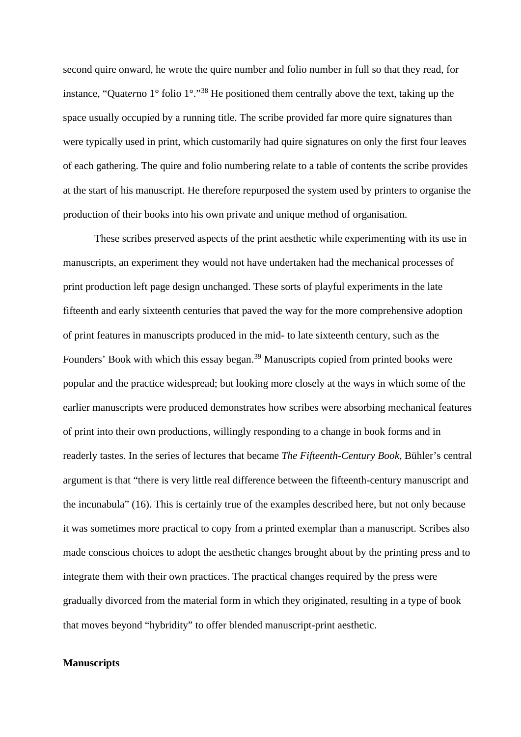second quire onward, he wrote the quire number and folio number in full so that they read, for instance, "Quat*er*no 1° folio 1°."[38](#page-3-10) He positioned them centrally above the text, taking up the space usually occupied by a running title. The scribe provided far more quire signatures than were typically used in print, which customarily had quire signatures on only the first four leaves of each gathering. The quire and folio numbering relate to a table of contents the scribe provides at the start of his manuscript. He therefore repurposed the system used by printers to organise the production of their books into his own private and unique method of organisation.

These scribes preserved aspects of the print aesthetic while experimenting with its use in manuscripts, an experiment they would not have undertaken had the mechanical processes of print production left page design unchanged. These sorts of playful experiments in the late fifteenth and early sixteenth centuries that paved the way for the more comprehensive adoption of print features in manuscripts produced in the mid- to late sixteenth century, such as the Founders' Book with which this essay began.<sup>[39](#page-3-11)</sup> Manuscripts copied from printed books were popular and the practice widespread; but looking more closely at the ways in which some of the earlier manuscripts were produced demonstrates how scribes were absorbing mechanical features of print into their own productions, willingly responding to a change in book forms and in readerly tastes. In the series of lectures that became *The Fifteenth-Century Book*, Bühler's central argument is that "there is very little real difference between the fifteenth-century manuscript and the incunabula" (16). This is certainly true of the examples described here, but not only because it was sometimes more practical to copy from a printed exemplar than a manuscript. Scribes also made conscious choices to adopt the aesthetic changes brought about by the printing press and to integrate them with their own practices. The practical changes required by the press were gradually divorced from the material form in which they originated, resulting in a type of book that moves beyond "hybridity" to offer blended manuscript-print aesthetic.

#### **Manuscripts**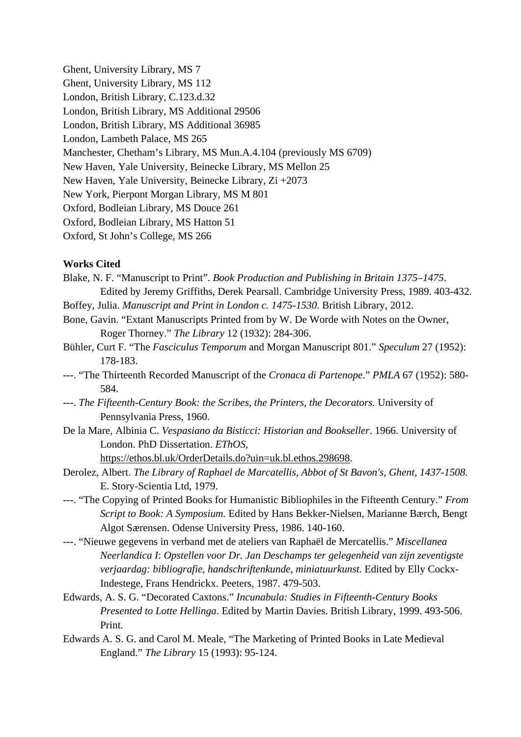Ghent, University Library, MS 7 Ghent, University Library, MS 112 London, British Library, C.123.d.32 London, British Library, MS Additional 29506 London, British Library, MS Additional 36985 London, Lambeth Palace, MS 265 Manchester, Chetham's Library, MS Mun.A.4.104 (previously MS 6709) New Haven, Yale University, Beinecke Library, MS Mellon 25 New Haven, Yale University, Beinecke Library, Zi +2073 New York, Pierpont Morgan Library, MS M 801 Oxford, Bodleian Library, MS Douce 261 Oxford, Bodleian Library, MS Hatton 51

Oxford, St John's College, MS 266

## **Works Cited**

- Blake, N. F. "Manuscript to Print". *Book Production and Publishing in Britain 1375–1475*. Edited by Jeremy Griffiths, Derek Pearsall. Cambridge University Press, 1989. 403-432.
- Boffey, Julia. *Manuscript and Print in London c. 1475-1530.* British Library, 2012*.*
- Bone, Gavin. "Extant Manuscripts Printed from by W. De Worde with Notes on the Owner, Roger Thorney." *The Library* 12 (1932): 284-306.
- Bühler, Curt F. "The *Fasciculus Temporum* and Morgan Manuscript 801." *Speculum* 27 (1952): 178-183.
- ---. "The Thirteenth Recorded Manuscript of the *Cronaca di Partenope*." *PMLA* 67 (1952): 580- 584.
- ---. *The Fifteenth-Century Book: the Scribes, the Printers, the Decorators.* University of Pennsylvania Press, 1960.
- De la Mare, Albinia C. *Vespasiano da Bisticci: Historian and Bookseller*. 1966. University of London. PhD Dissertation. *EThOS*,

[https://ethos.bl.uk/OrderDetails.do?uin=uk.bl.ethos.298698.](https://ethos.bl.uk/OrderDetails.do?uin=uk.bl.ethos.298698)

- Derolez, Albert. *The Library of Raphael de Marcatellis, Abbot of St Bavon's, Ghent, 1437-1508.*  E. Story-Scientia Ltd, 1979.
- ---. "The Copying of Printed Books for Humanistic Bibliophiles in the Fifteenth Century." *From Script to Book: A Symposium.* Edited by Hans Bekker-Nielsen, Marianne Bærch, Bengt Algot Særensen. Odense University Press, 1986. 140-160.
- ---. "Nieuwe gegevens in verband met de ateliers van Raphaël de Mercatellis." *Miscellanea Neerlandica I*: *Opstellen voor Dr. Jan Deschamps ter gelegenheid van zijn zeventigste verjaardag: bibliografie, handschriftenkunde, miniatuurkunst.* Edited by Elly Cockx-Indestege, Frans Hendrickx. Peeters, 1987. 479-503.
- Edwards, A. S. G. "Decorated Caxtons." *Incunabula: Studies in Fifteenth-Century Books Presented to Lotte Hellinga*. Edited by Martin Davies. British Library, 1999. 493-506. Print.
- Edwards A. S. G. and Carol M. Meale, "The Marketing of Printed Books in Late Medieval England." *The Library* 15 (1993): 95-124.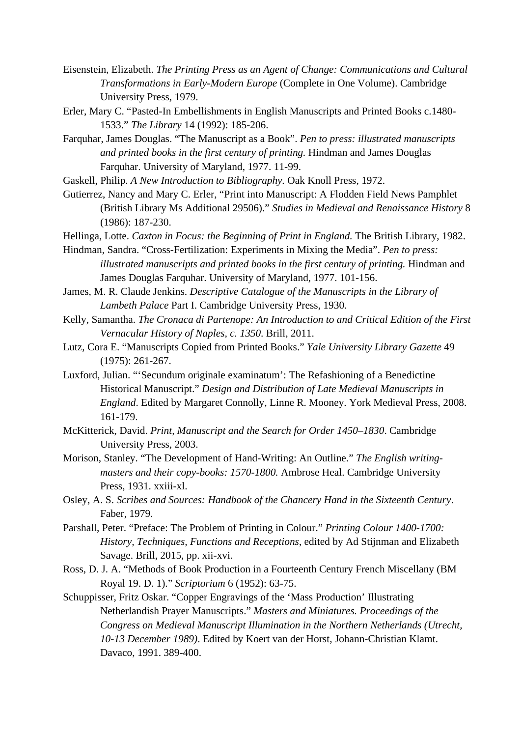- Eisenstein, Elizabeth. *The Printing Press as an Agent of Change: Communications and Cultural Transformations in Early-Modern Europe* (Complete in One Volume). Cambridge University Press, 1979.
- Erler, Mary C. "Pasted-In Embellishments in English Manuscripts and Printed Books c.1480- 1533." *The Library* 14 (1992): 185-206.
- Farquhar, James Douglas. "The Manuscript as a Book". *Pen to press: illustrated manuscripts and printed books in the first century of printing.* Hindman and James Douglas Farquhar. University of Maryland, 1977. 11-99.
- Gaskell, Philip. *A New Introduction to Bibliography.* Oak Knoll Press, 1972.
- Gutierrez, Nancy and Mary C. Erler, "Print into Manuscript: A Flodden Field News Pamphlet (British Library Ms Additional 29506)." *Studies in Medieval and Renaissance History* 8 (1986): 187-230.
- Hellinga, Lotte. *Caxton in Focus: the Beginning of Print in England.* The British Library, 1982.
- Hindman, Sandra. "Cross-Fertilization: Experiments in Mixing the Media". *Pen to press: illustrated manuscripts and printed books in the first century of printing.* Hindman and James Douglas Farquhar. University of Maryland, 1977. 101-156.
- James, M. R. Claude Jenkins. *Descriptive Catalogue of the Manuscripts in the Library of Lambeth Palace* Part I. Cambridge University Press, 1930.
- Kelly, Samantha. *The Cronaca di Partenope: An Introduction to and Critical Edition of the First Vernacular History of Naples, c. 1350*. Brill, 2011.
- Lutz, Cora E. "Manuscripts Copied from Printed Books." *Yale University Library Gazette* 49 (1975): 261-267.
- Luxford, Julian. "'Secundum originale examinatum': The Refashioning of a Benedictine Historical Manuscript." *Design and Distribution of Late Medieval Manuscripts in England*. Edited by Margaret Connolly, Linne R. Mooney. York Medieval Press, 2008. 161-179.
- McKitterick, David. *Print, Manuscript and the Search for Order 1450–1830*. Cambridge University Press, 2003.
- Morison, Stanley. "The Development of Hand-Writing: An Outline." *The English writingmasters and their copy-books: 1570-1800.* Ambrose Heal. Cambridge University Press, 1931. xxiii-xl.
- Osley, A. S. *Scribes and Sources: Handbook of the Chancery Hand in the Sixteenth Century*. Faber, 1979.
- Parshall, Peter. "Preface: The Problem of Printing in Colour." *Printing Colour 1400-1700: History, Techniques, Functions and Receptions*, edited by Ad Stijnman and Elizabeth Savage. Brill, 2015, pp. xii-xvi.
- Ross, D. J. A. "Methods of Book Production in a Fourteenth Century French Miscellany (BM Royal 19. D. 1)." *Scriptorium* 6 (1952): 63-75.
- Schuppisser, Fritz Oskar. "Copper Engravings of the 'Mass Production' Illustrating Netherlandish Prayer Manuscripts." *Masters and Miniatures. Proceedings of the Congress on Medieval Manuscript Illumination in the Northern Netherlands (Utrecht, 10-13 December 1989)*. Edited by Koert van der Horst, Johann-Christian Klamt. Davaco, 1991. 389-400.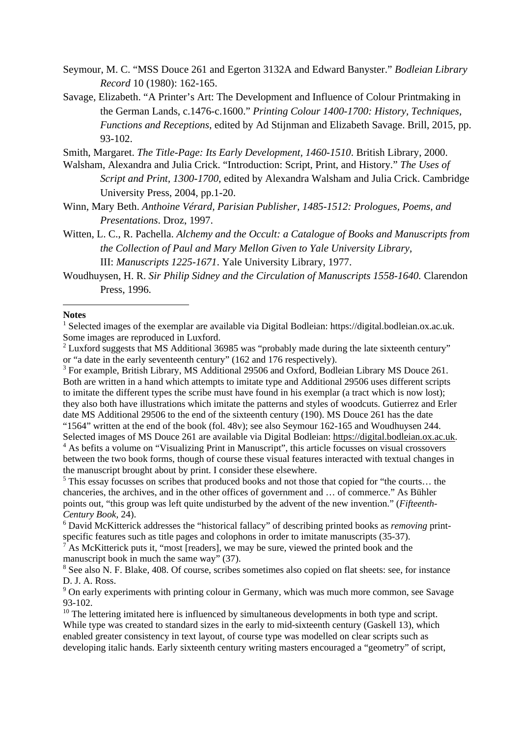Seymour, M. C. "MSS Douce 261 and Egerton 3132A and Edward Banyster." *Bodleian Library Record* 10 (1980): 162-165.

Savage, Elizabeth. "A Printer's Art: The Development and Influence of Colour Printmaking in the German Lands, c.1476-c.1600." *Printing Colour 1400-1700: History, Techniques, Functions and Receptions*, edited by Ad Stijnman and Elizabeth Savage. Brill, 2015, pp. 93-102.

Smith, Margaret. *The Title-Page: Its Early Development, 1460-1510*. British Library, 2000.

Walsham, Alexandra and Julia Crick. "Introduction: Script, Print, and History." *The Uses of Script and Print, 1300-1700*, edited by Alexandra Walsham and Julia Crick. Cambridge University Press, 2004, pp.1-20.

Winn, Mary Beth. *Anthoine Vérard, Parisian Publisher, 1485-1512: Prologues, Poems, and Presentations*. Droz, 1997.

Witten, L. C., R. Pachella. *Alchemy and the Occult: a Catalogue of Books and Manuscripts from the Collection of Paul and Mary Mellon Given to Yale University Library*, III: *Manuscripts 1225-1671*. Yale University Library, 1977.

Woudhuysen, H. R. *Sir Philip Sidney and the Circulation of Manuscripts 1558-1640.* Clarendon Press, 1996.

#### **Notes**

<sup>3</sup> For example, British Library, MS Additional 29506 and Oxford, Bodleian Library MS Douce 261. Both are written in a hand which attempts to imitate type and Additional 29506 uses different scripts to imitate the different types the scribe must have found in his exemplar (a tract which is now lost); they also both have illustrations which imitate the patterns and styles of woodcuts. Gutierrez and Erler date MS Additional 29506 to the end of the sixteenth century (190). MS Douce 261 has the date "1564" written at the end of the book (fol. 48v); see also Seymour 162-165 and Woudhuysen 244.

Selected images of MS Douce 261 are available via Digital Bodleian: [https://digital.bodleian.ox.ac.uk.](https://digital.bodleian.ox.ac.uk/) <sup>4</sup> As befits a volume on "Visualizing Print in Manuscript", this article focusses on visual crossovers between the two book forms, though of course these visual features interacted with textual changes in the manuscript brought about by print. I consider these elsewhere.

<sup>5</sup> This essay focusses on scribes that produced books and not those that copied for "the courts... the chanceries, the archives, and in the other offices of government and … of commerce." As Bühler points out, "this group was left quite undisturbed by the advent of the new invention." (*Fifteenth-Century Book,* 24).

<sup>6</sup> David McKitterick addresses the "historical fallacy" of describing printed books as *removing* printspecific features such as title pages and colophons in order to imitate manuscripts (35-37).

As McKitterick puts it, "most [readers], we may be sure, viewed the printed book and the manuscript book in much the same way" (37).

<sup>8</sup> See also N. F. Blake, 408. Of course, scribes sometimes also copied on flat sheets: see, for instance D. J. A. Ross.

<sup>9</sup> On early experiments with printing colour in Germany, which was much more common, see Savage 93-102.

<sup>10</sup> The lettering imitated here is influenced by simultaneous developments in both type and script. While type was created to standard sizes in the early to mid-sixteenth century (Gaskell 13), which enabled greater consistency in text layout, of course type was modelled on clear scripts such as developing italic hands. Early sixteenth century writing masters encouraged a "geometry" of script,

<sup>&</sup>lt;sup>1</sup> Selected images of the exemplar are available via Digital Bodleian: https://digital.bodleian.ox.ac.uk. Some images are reproduced in Luxford.

<sup>&</sup>lt;sup>2</sup> Luxford suggests that MS Additional 36985 was "probably made during the late sixteenth century" or "a date in the early seventeenth century" (162 and 176 respectively).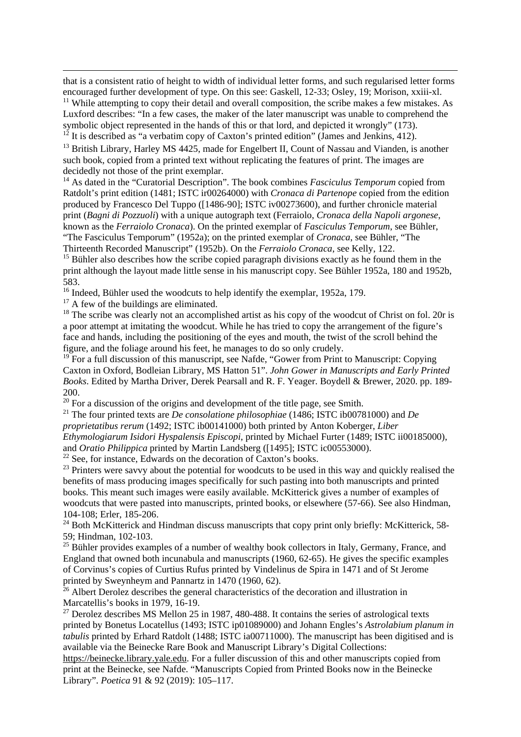that is a consistent ratio of height to width of individual letter forms, and such regularised letter forms encouraged further development of type. On this see: Gaskell, 12-33; Osley, 19; Morison, xxiii-xl. <sup>11</sup> While attempting to copy their detail and overall composition, the scribe makes a few mistakes. As

Luxford describes: "In a few cases, the maker of the later manuscript was unable to comprehend the symbolic object represented in the hands of this or that lord, and depicted it wrongly" (173).  $12$ <sup>12</sup> It is described as "a verbatim copy of Caxton's printed edition" (James and Jenkins, 412).

<sup>13</sup> British Library, Harley MS 4425, made for Engelbert II, Count of Nassau and Vianden, is another such book, copied from a printed text without replicating the features of print. The images are decidedly not those of the print exemplar.

<sup>14</sup> As dated in the "Curatorial Description". The book combines *Fasciculus Temporum* copied from Ratdolt's print edition (1481; ISTC ir00264000) with *Cronaca di Partenope* copied from the edition produced by Francesco Del Tuppo ([1486-90]; ISTC iv00273600), and further chronicle material print (*Bagni di Pozzuoli*) with a unique autograph text (Ferraiolo, *Cronaca della Napoli argonese*, known as the *Ferraiolo Cronaca*). On the printed exemplar of *Fasciculus Temporum*, see Bühler, "The Fasciculus Temporum" (1952a); on the printed exemplar of *Cronaca*, see Bühler, "The Thirteenth Recorded Manuscript" (1952b). On the *Ferraiolo Cronaca*, see Kelly, 122.

<sup>15</sup> Bühler also describes how the scribe copied paragraph divisions exactly as he found them in the print although the layout made little sense in his manuscript copy. See Bühler 1952a, 180 and 1952b, 583.

<sup>16</sup> Indeed. Bühler used the woodcuts to help identify the exemplar, 1952a, 179.

<sup>17</sup> A few of the buildings are eliminated.

<sup>18</sup> The scribe was clearly not an accomplished artist as his copy of the woodcut of Christ on fol. 20r is a poor attempt at imitating the woodcut. While he has tried to copy the arrangement of the figure's face and hands, including the positioning of the eyes and mouth, the twist of the scroll behind the figure, and the foliage around his feet, he manages to do so only crudely.

 $19$  For a full discussion of this manuscript, see Nafde, "Gower from Print to Manuscript: Copying Caxton in Oxford, Bodleian Library, MS Hatton 51". *John Gower in Manuscripts and Early Printed Books*. Edited by Martha Driver, Derek Pearsall and R. F. Yeager. Boydell & Brewer, 2020. pp. 189- 200.

 $20$  For a discussion of the origins and development of the title page, see Smith.

<sup>21</sup> The four printed texts are *De consolatione philosophiae* (1486; ISTC ib00781000) and *De proprietatibus rerum* (1492; ISTC ib00141000) both printed by Anton Koberger, *Liber Ethymologiarum Isidori Hyspalensis Episcopi*, printed by Michael Furter (1489; ISTC ii00185000), and *Oratio Philippica* printed by Martin Landsberg ([1495]; ISTC ic00553000).

 $22$  See, for instance, Edwards on the decoration of Caxton's books.

<sup>23</sup> Printers were savvy about the potential for woodcuts to be used in this way and quickly realised the benefits of mass producing images specifically for such pasting into both manuscripts and printed books. This meant such images were easily available. McKitterick gives a number of examples of woodcuts that were pasted into manuscripts, printed books, or elsewhere (57-66). See also Hindman, 104-108; Erler, 185-206.

<sup>24</sup> Both McKitterick and Hindman discuss manuscripts that copy print only briefly: McKitterick, 58-59; Hindman, 102-103.

<sup>25</sup> Bühler provides examples of a number of wealthy book collectors in Italy, Germany, France, and England that owned both incunabula and manuscripts (1960, 62-65). He gives the specific examples of Corvinus's copies of Curtius Rufus printed by Vindelinus de Spira in 1471 and of St Jerome printed by Sweynheym and Pannartz in 1470 (1960, 62).

<sup>26</sup> Albert Derolez describes the general characteristics of the decoration and illustration in Marcatellis's books in 1979, 16-19.

 $27$  Derolez describes MS Mellon 25 in 1987, 480-488. It contains the series of astrological texts printed by Bonetus Locatellus (1493; ISTC ip01089000) and Johann Engles's *Astrolabium planum in tabulis* printed by Erhard Ratdolt (1488; ISTC ia00711000). The manuscript has been digitised and is available via the Beinecke Rare Book and Manuscript Library's Digital Collections:

[https://beinecke.library.yale.edu.](https://beinecke.library.yale.edu/) For a fuller discussion of this and other manuscripts copied from print at the Beinecke, see Nafde. "Manuscripts Copied from Printed Books now in the Beinecke Library". *Poetica* 91 & 92 (2019): 105–117.